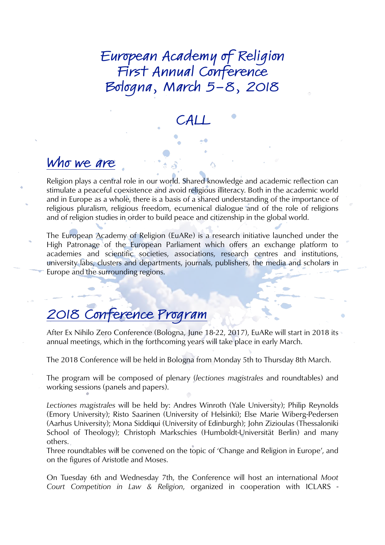European Academy of Religion First Annual Conference Bologna, March 5-8, 2018

CALL

### Who we are

Religion plays a central role in our world. Shared knowledge and academic reflection can stimulate a peaceful coexistence and avoid religious illiteracy. Both in the academic world and in Europe as a whole, there is a basis of a shared understanding of the importance of religious pluralism, religious freedom, ecumenical dialogue and of the role of religions and of religion studies in order to build peace and citizenship in the global world.

The European Academy of Religion (EuARe) is a research initiative launched under the High Patronage of the European Parliament which offers an exchange platform to academies and scientific societies, associations, research centres and institutions, university labs, clusters and departments, journals, publishers, the media and scholars in Europe and the surrounding regions.

### 2018 Conference Program

After Ex Nihilo Zero Conference (Bologna, June 18-22, 2017), EuARe will start in 2018 its annual meetings, which in the forthcoming years will take place in early March.

The 2018 Conference will be held in Bologna from Monday 5th to Thursday 8th March.

The program will be composed of plenary (*lectiones magistrales* and roundtables) and working sessions (panels and papers).

*Lectiones magistrales* will be held by: Andres Winroth (Yale University); Philip Reynolds (Emory University); Risto Saarinen (University of Helsinki); Else Marie Wiberg-Pedersen (Aarhus University); Mona Siddiqui (University of Edinburgh); John Zizioulas (Thessaloniki School of Theology); Christoph Markschies (Humboldt-Universität Berlin) and many others.

Three roundtables will be convened on the topic of 'Change and Religion in Europe', and on the figures of Aristotle and Moses.

On Tuesday 6th and Wednesday 7th, the Conference will host an international *Moot Court Competition in Law & Religion*, organized in cooperation with ICLARS -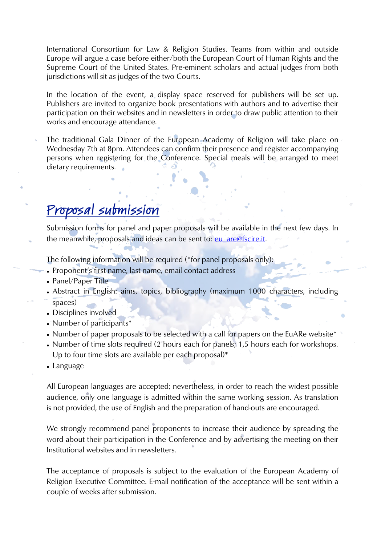International Consortium for Law & Religion Studies. Teams from within and outside Europe will argue a case before either/both the European Court of Human Rights and the Supreme Court of the United States. Pre-eminent scholars and actual judges from both jurisdictions will sit as judges of the two Courts.

In the location of the event, a display space reserved for publishers will be set up. Publishers are invited to organize book presentations with authors and to advertise their participation on their websites and in newsletters in order to draw public attention to their works and encourage attendance.

The traditional Gala Dinner of the European Academy of Religion will take place on Wednesday 7th at 8pm. Attendees can confirm their presence and register accompanying persons when registering for the Conference. Special meals will be arranged to meet dietary requirements.

## Proposal submission

Submission forms for panel and paper proposals will be available in the next few days. In the meanwhile, proposals and ideas can be sent to: [eu\\_are@fscire.it.](mailto:eu_are@fscire.it)

The following information will be required (\*for panel proposals only):

- Proponent's first name, last name, email contact address
- Panel/Paper Title
- Abstract in English: aims, topics, bibliography (maximum 1000 characters, including spaces)
- Disciplines involved
- Number of participants\*
- Number of paper proposals to be selected with a call for papers on the EuARe website\*
- Number of time slots required (2 hours each for panels; 1,5 hours each for workshops. Up to four time slots are available per each proposal)\*
- Language

All European languages are accepted; nevertheless, in order to reach the widest possible audience, only one language is admitted within the same working session. As translation is not provided, the use of English and the preparation of hand-outs are encouraged.

We strongly recommend panel proponents to increase their audience by spreading the word about their participation in the Conference and by advertising the meeting on their Institutional websites and in newsletters.

The acceptance of proposals is subject to the evaluation of the European Academy of Religion Executive Committee. E-mail notification of the acceptance will be sent within a couple of weeks after submission.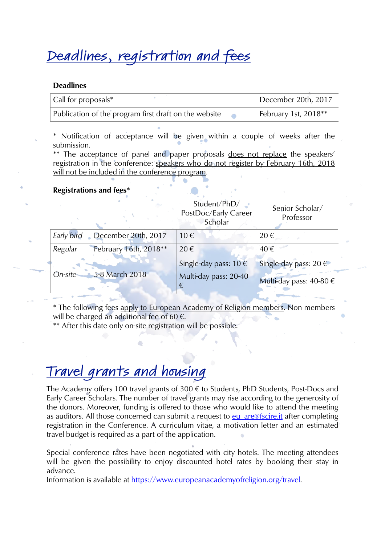# Deadlines, registration and fees

#### Deadlines

| $\vert$ Call for proposals*                           | December 20th, 2017  |
|-------------------------------------------------------|----------------------|
| Publication of the program first draft on the website | February 1st, 2018** |

\* Notification of acceptance will be given within a couple of weeks after the submission.

\*\* The acceptance of panel and paper proposals does not replace the speakers' registration in the conference: speakers who do not register by February 16th, 2018 will not be included in the conference program.

#### Registrations and fees\*

|            |                       | Student/PhD/<br>PostDoc/Early Career<br>Scholar | Senior Scholar/<br>Professor |
|------------|-----------------------|-------------------------------------------------|------------------------------|
| Early bird | December 20th, 2017   | 10€                                             | $20 \in$                     |
| Regular    | February 16th, 2018** | 20€                                             | 40€                          |
| On-site    | 5-8 March 2018        | Single-day pass: 10 €                           | Single-day pass: 20 €        |
|            |                       | Multi-day pass: 20-40<br>€                      | Multi-day pass: 40-80 €      |

\* The following fees apply to European Academy of Religion members. Non members will be charged an additional fee of 60  $\epsilon$ .

\*\* After this date only on-site registration will be possible.

# Travel grants and housing

The Academy offers 100 travel grants of 300  $\epsilon$  to Students, PhD Students, Post-Docs and Early Career Scholars. The number of travel grants may rise according to the generosity of the donors. Moreover, funding is offered to those who would like to attend the meeting as auditors. All those concerned can submit a request to [eu\\_are@fscire.it](mailto:eu_are@fscire.it) after completing registration in the Conference. A curriculum vitae, a motivation letter and an estimated travel budget is required as a part of the application.

Special conference rates have been negotiated with city hotels. The meeting attendees will be given the possibility to enjoy discounted hotel rates by booking their stay in advance.

Information is available at<https://www.europeanacademyofreligion.org/travel>.